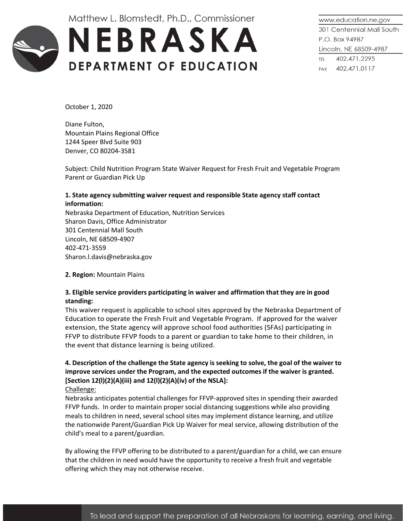Matthew L. Blomstedt, Ph.D., Commissioner



www.education.ne.gov 301 Centennial Mall South P.O. Box 94987 Lincoln, NE 68509-4987 TEL 402.471.2295 FAX 402.471.0117

October 1, 2020

Diane Fulton, Mountain Plains Regional Office 1244 Speer Blvd Suite 903 Denver, CO 80204-3581

Subject: Child Nutrition Program State Waiver Request for Fresh Fruit and Vegetable Program Parent or Guardian Pick Up

## **1. State agency submitting waiver request and responsible State agency staff contact information:**

Nebraska Department of Education, Nutrition Services Sharon Davis, Office Administrator 301 Centennial Mall South Lincoln, NE 68509-4907 402-471-3559 Sharon.l.davis@nebraska.gov

**2. Region:** Mountain Plains

### **3. Eligible service providers participating in waiver and affirmation that they are in good standing:**

This waiver request is applicable to school sites approved by the Nebraska Department of Education to operate the Fresh Fruit and Vegetable Program. If approved for the waiver extension, the State agency will approve school food authorities (SFAs) participating in FFVP to distribute FFVP foods to a parent or guardian to take home to their children, in the event that distance learning is being utilized.

# **4. Description of the challenge the State agency is seeking to solve, the goal of the waiver to improve services under the Program, and the expected outcomes if the waiver is granted. [Section 12(l)(2)(A)(iii) and 12(l)(2)(A)(iv) of the NSLA]:**

Challenge:

Nebraska anticipates potential challenges for FFVP-approved sites in spending their awarded FFVP funds. In order to maintain proper social distancing suggestions while also providing meals to children in need, several school sites may implement distance learning, and utilize the nationwide Parent/Guardian Pick Up Waiver for meal service, allowing distribution of the child's meal to a parent/guardian.

By allowing the FFVP offering to be distributed to a parent/guardian for a child, we can ensure that the children in need would have the opportunity to receive a fresh fruit and vegetable offering which they may not otherwise receive.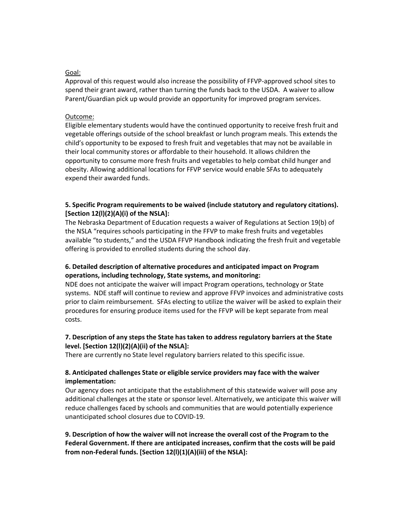#### Goal:

Approval of this request would also increase the possibility of FFVP-approved school sites to spend their grant award, rather than turning the funds back to the USDA. A waiver to allow Parent/Guardian pick up would provide an opportunity for improved program services.

#### Outcome:

Eligible elementary students would have the continued opportunity to receive fresh fruit and vegetable offerings outside of the school breakfast or lunch program meals. This extends the child's opportunity to be exposed to fresh fruit and vegetables that may not be available in their local community stores or affordable to their household. It allows children the opportunity to consume more fresh fruits and vegetables to help combat child hunger and obesity. Allowing additional locations for FFVP service would enable SFAs to adequately expend their awarded funds.

### **5. Specific Program requirements to be waived (include statutory and regulatory citations). [Section 12(l)(2)(A)(i) of the NSLA]:**

The Nebraska Department of Education requests a waiver of Regulations at Section 19(b) of the NSLA "requires schools participating in the FFVP to make fresh fruits and vegetables available "to students," and the USDA FFVP Handbook indicating the fresh fruit and vegetable offering is provided to enrolled students during the school day.

# **6. Detailed description of alternative procedures and anticipated impact on Program operations, including technology, State systems, and monitoring:**

NDE does not anticipate the waiver will impact Program operations, technology or State systems. NDE staff will continue to review and approve FFVP invoices and administrative costs prior to claim reimbursement. SFAs electing to utilize the waiver will be asked to explain their procedures for ensuring produce items used for the FFVP will be kept separate from meal costs.

### **7. Description of any steps the State has taken to address regulatory barriers at the State level. [Section 12(l)(2)(A)(ii) of the NSLA]:**

There are currently no State level regulatory barriers related to this specific issue.

### **8. Anticipated challenges State or eligible service providers may face with the waiver implementation:**

Our agency does not anticipate that the establishment of this statewide waiver will pose any additional challenges at the state or sponsor level. Alternatively, we anticipate this waiver will reduce challenges faced by schools and communities that are would potentially experience unanticipated school closures due to COVID-19.

# **9. Description of how the waiver will not increase the overall cost of the Program to the Federal Government. If there are anticipated increases, confirm that the costs will be paid from non-Federal funds. [Section 12(l)(1)(A)(iii) of the NSLA]:**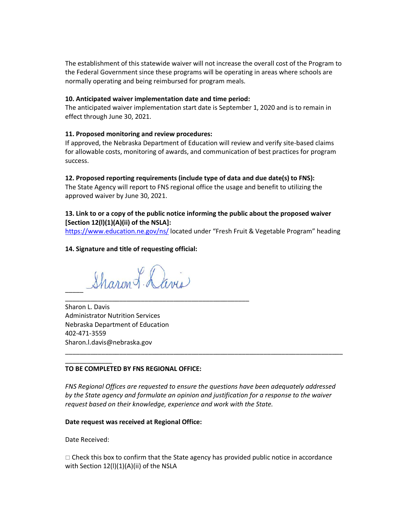The establishment of this statewide waiver will not increase the overall cost of the Program to the Federal Government since these programs will be operating in areas where schools are normally operating and being reimbursed for program meals.

### **10. Anticipated waiver implementation date and time period:**

The anticipated waiver implementation start date is September 1, 2020 and is to remain in effect through June 30, 2021.

### **11. Proposed monitoring and review procedures:**

If approved, the Nebraska Department of Education will review and verify site-based claims for allowable costs, monitoring of awards, and communication of best practices for program success.

### **12. Proposed reporting requirements (include type of data and due date(s) to FNS):**

The State Agency will report to FNS regional office the usage and benefit to utilizing the approved waiver by June 30, 2021.

# **13. Link to or a copy of the public notice informing the public about the proposed waiver [Section 12(l)(1)(A)(ii) of the NSLA]:**

<https://www.education.ne.gov/ns/> located under "Fresh Fruit & Vegetable Program" heading

#### **14. Signature and title of requesting official:**

Sharon L. Davis  $\overline{\phantom{a}}$ 

\_\_\_\_\_\_\_\_\_\_\_\_\_\_\_\_\_\_\_\_\_\_\_\_\_\_\_\_\_\_\_\_\_\_\_\_\_\_\_\_\_\_\_\_\_\_\_\_\_\_\_

Sharon L. Davis Administrator Nutrition Services Nebraska Department of Education 402-471-3559 Sharon.l.davis@nebraska.gov

### **TO BE COMPLETED BY FNS REGIONAL OFFICE:**

*FNS Regional Offices are requested to ensure the questions have been adequately addressed by the State agency and formulate an opinion and justification for a response to the waiver request based on their knowledge, experience and work with the State.*

\_\_\_\_\_\_\_\_\_\_\_\_\_\_\_\_\_\_\_\_\_\_\_\_\_\_\_\_\_\_\_\_\_\_\_\_\_\_\_\_\_\_\_\_\_\_\_\_\_\_\_\_\_\_\_\_\_\_\_\_\_\_\_\_\_\_\_\_\_\_\_\_\_\_\_\_\_

### **Date request was received at Regional Office:**

Date Received:

\_\_\_\_\_\_\_\_\_\_\_\_\_

 $\Box$  Check this box to confirm that the State agency has provided public notice in accordance with Section 12(I)(1)(A)(ii) of the NSLA